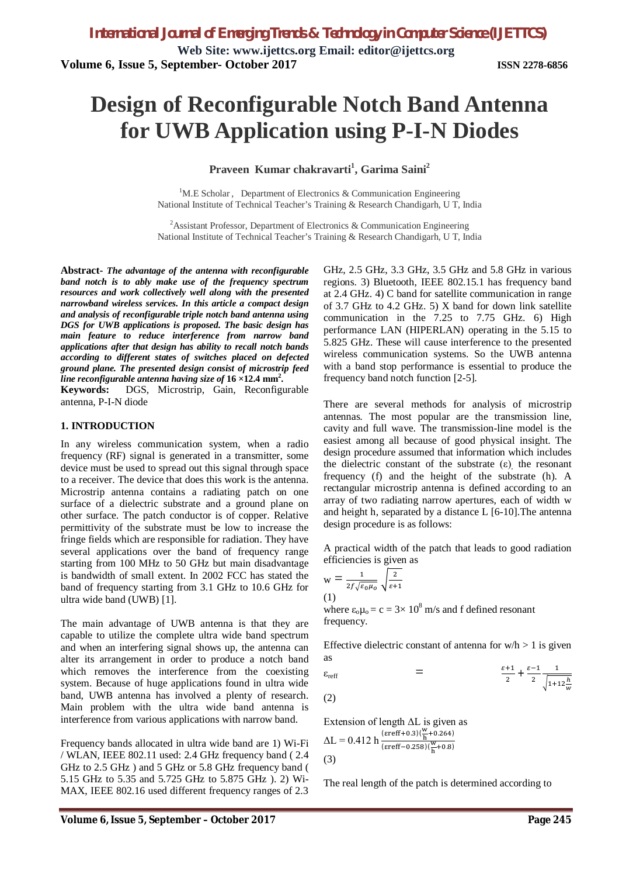**Web Site: [www.ijettcs.org](http://www.ijettcs.org) Email: [editor@ijettcs.org](mailto:editor@ijettcs.org) Volume 6, Issue 5, September- October 2017 ISSN 2278-6856**

# **Design of Reconfigurable Notch Band Antenna for UWB Application using P-I-N Diodes**

## **Praveen Kumar chakravarti<sup>1</sup> , Garima Saini<sup>2</sup>**

<sup>1</sup>M.E Scholar, Department of Electronics & Communication Engineering National Institute of Technical Teacher's Training & Research Chandigarh, U T, India

<sup>2</sup> Assistant Professor, Department of Electronics & Communication Engineering National Institute of Technical Teacher's Training & Research Chandigarh, U T, India

**Abstract-** *The advantage of the antenna with reconfigurable band notch is to ably make use of the frequency spectrum resources and work collectively well along with the presented narrowband wireless services. In this article a compact design and analysis of reconfigurable triple notch band antenna using DGS for UWB applications is proposed. The basic design has main feature to reduce interference from narrow band applications after that design has ability to recall notch bands according to different states of switches placed on defected ground plane. The presented design consist of microstrip feed line reconfigurable antenna having size of* **16 ×12.4 mm<sup>2</sup> .**

**Keywords:** DGS, Microstrip, Gain, Reconfigurable antenna, P-I-N diode

#### **1. INTRODUCTION**

In any wireless communication system, when a radio frequency (RF) signal is generated in a transmitter, some device must be used to spread out this signal through space to a receiver. The device that does this work is the antenna. Microstrip antenna contains a radiating patch on one surface of a dielectric substrate and a ground plane on other surface. The patch conductor is of copper. Relative permittivity of the substrate must be low to increase the fringe fields which are responsible for radiation. They have several applications over the band of frequency range starting from 100 MHz to 50 GHz but main disadvantage is bandwidth of small extent. In 2002 FCC has stated the band of frequency starting from 3.1 GHz to 10.6 GHz for ultra wide band (UWB) [1].

The main advantage of UWB antenna is that they are capable to utilize the complete ultra wide band spectrum and when an interfering signal shows up, the antenna can alter its arrangement in order to produce a notch band which removes the interference from the coexisting system. Because of huge applications found in ultra wide band, UWB antenna has involved a plenty of research. Main problem with the ultra wide band antenna is interference from various applications with narrow band.

Frequency bands allocated in ultra wide band are 1) Wi-Fi / WLAN, IEEE 802.11 used: 2.4 GHz frequency band ( 2.4 GHz to 2.5 GHz ) and 5 GHz or 5.8 GHz frequency band ( 5.15 GHz to 5.35 and 5.725 GHz to 5.875 GHz ). 2) Wi-MAX, IEEE 802.16 used different frequency ranges of 2.3

GHz, 2.5 GHz, 3.3 GHz, 3.5 GHz and 5.8 GHz in various regions. 3) Bluetooth, IEEE 802.15.1 has frequency band at 2.4 GHz. 4) C band for satellite communication in range of 3.7 GHz to 4.2 GHz. 5) X band for down link satellite communication in the 7.25 to 7.75 GHz. 6) High performance LAN (HIPERLAN) operating in the 5.15 to 5.825 GHz. These will cause interference to the presented wireless communication systems. So the UWB antenna with a band stop performance is essential to produce the frequency band notch function [2-5].

There are several methods for analysis of microstrip antennas. The most popular are the transmission line, cavity and full wave. The transmission-line model is the easiest among all because of good physical insight. The design procedure assumed that information which includes the dielectric constant of the substrate  $(\varepsilon)$ , the resonant frequency (f) and the height of the substrate (h). A rectangular microstrip antenna is defined according to an array of two radiating narrow apertures, each of width w and height h, separated by a distance L [6-10].The antenna design procedure is as follows:

A practical width of the patch that leads to good radiation efficiencies is given as

$$
w = \frac{1}{2f\sqrt{\varepsilon_0\mu_0}}\sqrt{\frac{2}{\varepsilon+1}}
$$
  
(1)

where  $\varepsilon_0 \mu_0 = c = 3 \times 10^8$  m/s and f defined resonant frequency.

Effective dielectric constant of antenna for  $w/h > 1$  is given as

$$
\varepsilon_{\text{reff}} = \frac{\varepsilon + 1}{2} + \frac{\varepsilon - 1}{2} \frac{1}{\sqrt{1 + 12\frac{h}{w}}}
$$

(2)

Extension of length ΔL is given as  $\Delta L = 0.412 \text{ h} \frac{(\text{ereff}+0.3)(\frac{W}{h}+0.264)}{(\text{cm}^2/\text{e}+0.252)(\frac{W}{h}+0.264)}$  $\frac{\text{(erff-0.258)}{\text{(fr+0.8)}}}{\text{(erff-0.258)}{\text{(m + 0.8)}}}$ (3)

The real length of the patch is determined according to

 $\mathbf 1$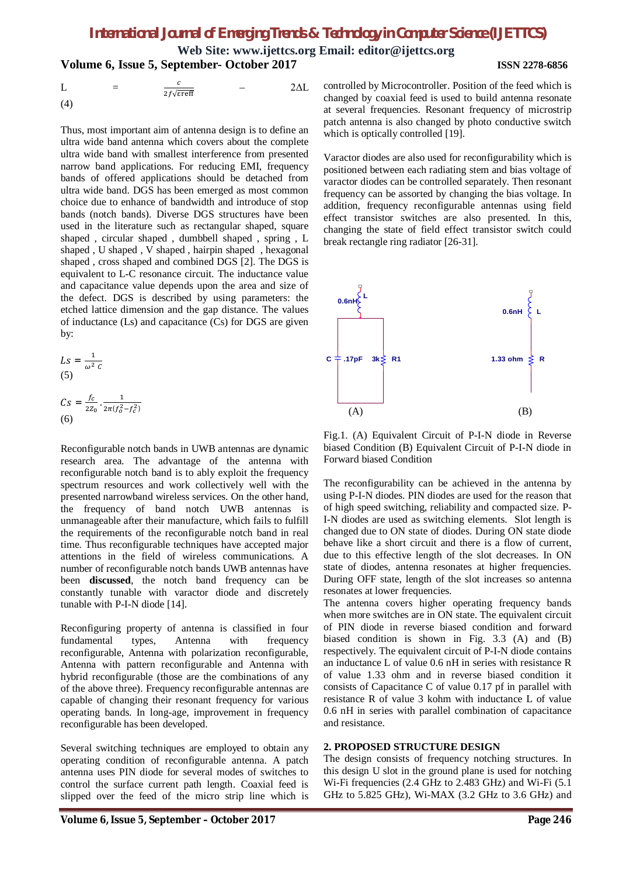**Web Site: [www.ijettcs.org](http://www.ijettcs.org) Email: [editor@ijettcs.org](mailto:editor@ijettcs.org) Volume 6, Issue 5, September- October 2017 ISSN 2278-6856**

$$
L = \frac{c}{2f\sqrt{\text{ereff}}} \qquad - \qquad 2\Delta L
$$
\n(4)

Thus, most important aim of antenna design is to define an ultra wide band antenna which covers about the complete ultra wide band with smallest interference from presented narrow band applications. For reducing EMI, frequency bands of offered applications should be detached from ultra wide band. DGS has been emerged as most common choice due to enhance of bandwidth and introduce of stop bands (notch bands). Diverse DGS structures have been used in the literature such as rectangular shaped, square shaped , circular shaped , dumbbell shaped , spring , L shaped , U shaped , V shaped , hairpin shaped , hexagonal shaped , cross shaped and combined DGS [2]. The DGS is equivalent to L-C resonance circuit. The inductance value and capacitance value depends upon the area and size of the defect. DGS is described by using parameters: the etched lattice dimension and the gap distance. The values of inductance (Ls) and capacitance (Cs) for DGS are given by:

$$
LS = \frac{1}{\omega^2 C}
$$
  
(5)  

$$
Cs = \frac{f_c}{2z_0} \cdot \frac{1}{2\pi (f_o^2 - f_c^2)}
$$
  
(6)

Reconfigurable notch bands in UWB antennas are dynamic research area. The advantage of the antenna with reconfigurable notch band is to ably exploit the frequency spectrum resources and work collectively well with the presented narrowband wireless services. On the other hand, the frequency of band notch UWB antennas is unmanageable after their manufacture, which fails to fulfill the requirements of the reconfigurable notch band in real time. Thus reconfigurable techniques have accepted major attentions in the field of wireless communications. A number of reconfigurable notch bands UWB antennas have been **discussed**, the notch band frequency can be constantly tunable with varactor diode and discretely tunable with P-I-N diode [14].

Reconfiguring property of antenna is classified in four fundamental types, Antenna with frequency reconfigurable, Antenna with polarization reconfigurable, Antenna with pattern reconfigurable and Antenna with hybrid reconfigurable (those are the combinations of any of the above three). Frequency reconfigurable antennas are capable of changing their resonant frequency for various operating bands. In long-age, improvement in frequency reconfigurable has been developed.

Several switching techniques are employed to obtain any operating condition of reconfigurable antenna. A patch antenna uses PIN diode for several modes of switches to control the surface current path length. Coaxial feed is slipped over the feed of the micro strip line which is controlled by Microcontroller. Position of the feed which is changed by coaxial feed is used to build antenna resonate at several frequencies. Resonant frequency of microstrip patch antenna is also changed by photo conductive switch which is optically controlled [19].

Varactor diodes are also used for reconfigurability which is positioned between each radiating stem and bias voltage of varactor diodes can be controlled separately. Then resonant frequency can be assorted by changing the bias voltage. In addition, frequency reconfigurable antennas using field effect transistor switches are also presented. In this, changing the state of field effect transistor switch could break rectangle ring radiator [26-31].



Fig.1. (A) Equivalent Circuit of P-I-N diode in Reverse biased Condition (B) Equivalent Circuit of P-I-N diode in Forward biased Condition

The reconfigurability can be achieved in the antenna by using P-I-N diodes. PIN diodes are used for the reason that of high speed switching, reliability and compacted size. P-I-N diodes are used as switching elements. Slot length is changed due to ON state of diodes. During ON state diode behave like a short circuit and there is a flow of current, due to this effective length of the slot decreases. In ON state of diodes, antenna resonates at higher frequencies. During OFF state, length of the slot increases so antenna resonates at lower frequencies.

The antenna covers higher operating frequency bands when more switches are in ON state. The equivalent circuit of PIN diode in reverse biased condition and forward biased condition is shown in Fig. 3.3 (A) and (B) respectively. The equivalent circuit of P-I-N diode contains an inductance L of value 0.6 nH in series with resistance R of value 1.33 ohm and in reverse biased condition it consists of Capacitance C of value 0.17 pf in parallel with resistance R of value 3 kohm with inductance L of value 0.6 nH in series with parallel combination of capacitance and resistance.

#### **2. PROPOSED STRUCTURE DESIGN**

The design consists of frequency notching structures. In this design U slot in the ground plane is used for notching Wi-Fi frequencies (2.4 GHz to 2.483 GHz) and Wi-Fi (5.1 GHz to 5.825 GHz), Wi-MAX (3.2 GHz to 3.6 GHz) and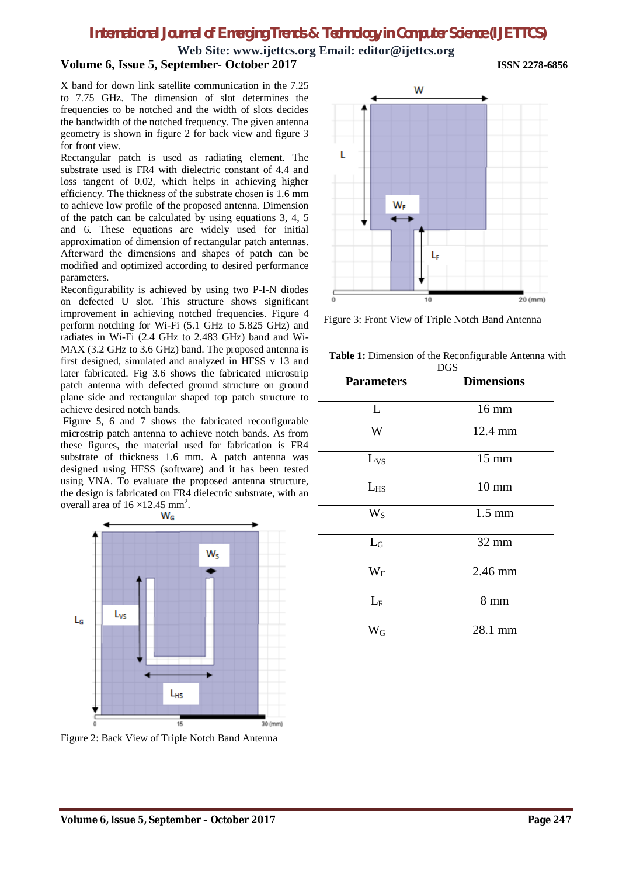### **Web Site: [www.ijettcs.org](http://www.ijettcs.org) Email: [editor@ijettcs.org](mailto:editor@ijettcs.org) Volume 6, Issue 5, September- October 2017 ISSN 2278-6856**

X band for down link satellite communication in the 7.25 to 7.75 GHz. The dimension of slot determines the frequencies to be notched and the width of slots decides the bandwidth of the notched frequency. The given antenna geometry is shown in figure 2 for back view and figure 3 for front view.

Rectangular patch is used as radiating element. The substrate used is FR4 with dielectric constant of 4.4 and loss tangent of 0.02, which helps in achieving higher efficiency. The thickness of the substrate chosen is 1.6 mm to achieve low profile of the proposed antenna. Dimension of the patch can be calculated by using equations 3, 4, 5 and 6. These equations are widely used for initial approximation of dimension of rectangular patch antennas. Afterward the dimensions and shapes of patch can be modified and optimized according to desired performance parameters.

Reconfigurability is achieved by using two P-I-N diodes on defected U slot. This structure shows significant improvement in achieving notched frequencies. Figure 4 perform notching for Wi-Fi (5.1 GHz to 5.825 GHz) and radiates in Wi-Fi (2.4 GHz to 2.483 GHz) band and Wi-MAX (3.2 GHz to 3.6 GHz) band. The proposed antenna is first designed, simulated and analyzed in HFSS v 13 and later fabricated. Fig 3.6 shows the fabricated microstrip patch antenna with defected ground structure on ground plane side and rectangular shaped top patch structure to achieve desired notch bands.

Figure 5, 6 and 7 shows the fabricated reconfigurable microstrip patch antenna to achieve notch bands. As from these figures, the material used for fabrication is FR4 substrate of thickness 1.6 mm. A patch antenna was designed using HFSS (software) and it has been tested using VNA. To evaluate the proposed antenna structure, the design is fabricated on FR4 dielectric substrate, with an overall area of  $16 \times 12.45$  mm<sup>2</sup>.



Figure 2: Back View of Triple Notch Band Antenna



Figure 3: Front View of Triple Notch Band Antenna

**Table 1:** Dimension of the Reconfigurable Antenna with

| <b>DGS</b>        |                   |
|-------------------|-------------------|
| <b>Parameters</b> | <b>Dimensions</b> |
| L                 | 16 mm             |
| W                 | 12.4 mm           |
| $L_{VS}$          | $15 \text{ mm}$   |
| $L_{HS}$          | $10 \text{ mm}$   |
| $W_S$             | $1.5 \text{ mm}$  |
| $L_G$             | 32 mm             |
| $W_F$             | 2.46 mm           |
| $L_F$             | $8 \text{ mm}$    |
| $W_{\rm G}$       | 28.1 mm           |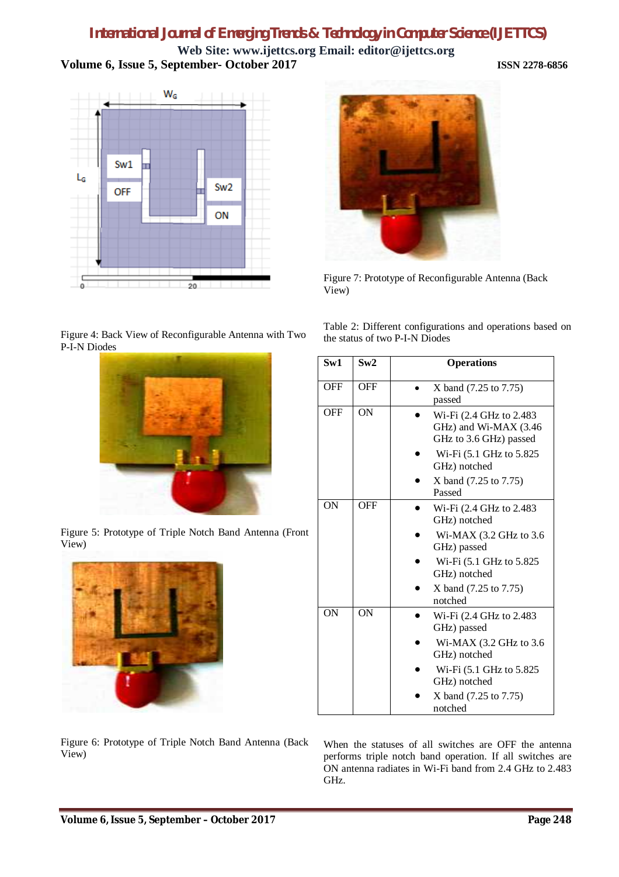**Web Site: [www.ijettcs.org](http://www.ijettcs.org) Email: [editor@ijettcs.org](mailto:editor@ijettcs.org) Volume 6, Issue 5, September- October 2017 ISSN 2278-6856**





Figure 7: Prototype of Reconfigurable Antenna (Back View)

Figure 4: Back View of Reconfigurable Antenna with Two P-I-N Diodes



Figure 5: Prototype of Triple Notch Band Antenna (Front View)



Table 2: Different configurations and operations based on the status of two P-I-N Diodes

| Sw1        | Sw2        | <b>Operations</b>                                                           |
|------------|------------|-----------------------------------------------------------------------------|
| <b>OFF</b> | <b>OFF</b> | X band (7.25 to 7.75)<br>passed                                             |
| <b>OFF</b> | ON         | Wi-Fi (2.4 GHz to 2.483)<br>GHz) and Wi-MAX (3.46<br>GHz to 3.6 GHz) passed |
|            |            | Wi-Fi (5.1 GHz to 5.825<br>GHz) notched                                     |
|            |            | X band (7.25 to 7.75)<br>Passed                                             |
| ON         | <b>OFF</b> | Wi-Fi (2.4 GHz to 2.483)<br>GHz) notched                                    |
|            |            | Wi-MAX $(3.2$ GHz to $3.6$<br>GHz) passed                                   |
|            |            | Wi-Fi (5.1 GHz to 5.825)<br>GHz) notched                                    |
|            |            | X band (7.25 to 7.75)<br>notched                                            |
| ON         | ON         | Wi-Fi (2.4 GHz to 2.483)<br>GHz) passed                                     |
|            |            | Wi-MAX $(3.2 \text{ GHz to } 3.6$<br>GHz) notched                           |
|            |            | Wi-Fi (5.1 GHz to 5.825)<br>GHz) notched                                    |
|            |            | X band (7.25 to 7.75)<br>notched                                            |

Figure 6: Prototype of Triple Notch Band Antenna (Back View)

When the statuses of all switches are OFF the antenna performs triple notch band operation. If all switches are ON antenna radiates in Wi-Fi band from 2.4 GHz to 2.483 GHz.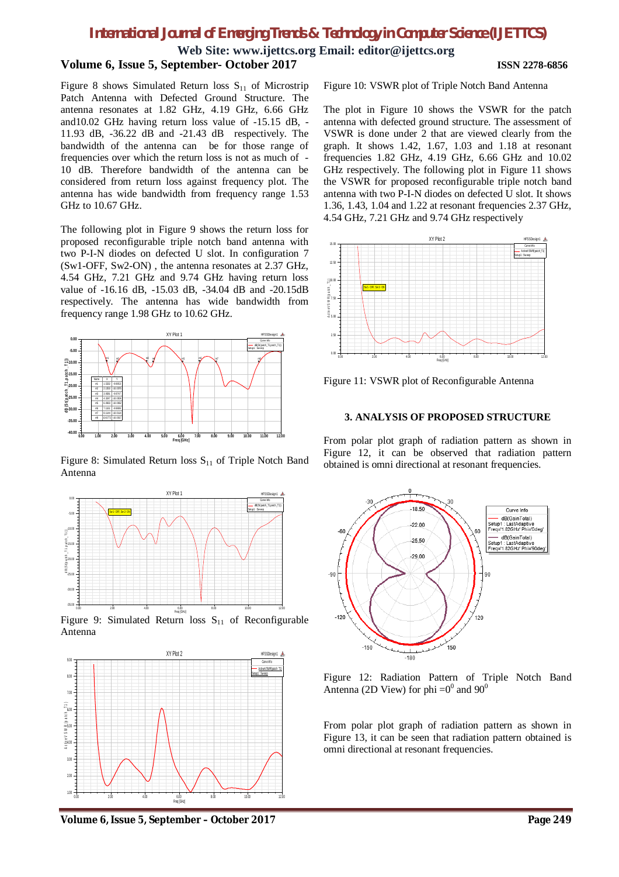**Web Site: [www.ijettcs.org](http://www.ijettcs.org) Email: [editor@ijettcs.org](mailto:editor@ijettcs.org)**

#### **Volume 6, Issue 5, September- October 2017 ISSN 2278-6856**

Figure 8 shows Simulated Return loss  $S_{11}$  of Microstrip Patch Antenna with Defected Ground Structure. The antenna resonates at 1.82 GHz, 4.19 GHz, 6.66 GHz and10.02 GHz having return loss value of -15.15 dB, - 11.93 dB, -36.22 dB and -21.43 dB respectively. The bandwidth of the antenna can be for those range of frequencies over which the return loss is not as much of - 10 dB. Therefore bandwidth of the antenna can be considered from return loss against frequency plot. The antenna has wide bandwidth from frequency range 1.53 GHz to 10.67 GHz.

The following plot in Figure 9 shows the return loss for proposed reconfigurable triple notch band antenna with two P-I-N diodes on defected U slot. In configuration 7 (Sw1-OFF, Sw2-ON) , the antenna resonates at 2.37 GHz, 4.54 GHz, 7.21 GHz and 9.74 GHz having return loss value of -16.16 dB, -15.03 dB, -34.04 dB and -20.15dB respectively. The antenna has wide bandwidth from frequency range 1.98 GHz to 10.62 GHz.



Figure 8: Simulated Return loss  $S_{11}$  of Triple Notch Band Antenna



Figure 9: Simulated Return loss  $S<sub>11</sub>$  of Reconfigurable Antenna



Figure 10: VSWR plot of Triple Notch Band Antenna

The plot in Figure 10 shows the VSWR for the patch antenna with defected ground structure. The assessment of VSWR is done under 2 that are viewed clearly from the graph. It shows 1.42, 1.67, 1.03 and 1.18 at resonant frequencies 1.82 GHz, 4.19 GHz, 6.66 GHz and 10.02 GHz respectively. The following plot in Figure 11 shows the VSWR for proposed reconfigurable triple notch band antenna with two P-I-N diodes on defected U slot. It shows 1.36, 1.43, 1.04 and 1.22 at resonant frequencies 2.37 GHz, 4.54 GHz, 7.21 GHz and 9.74 GHz respectively



Figure 11: VSWR plot of Reconfigurable Antenna

#### **3. ANALYSIS OF PROPOSED STRUCTURE**

From polar plot graph of radiation pattern as shown in Figure 12, it can be observed that radiation pattern obtained is omni directional at resonant frequencies.



Figure 12: Radiation Pattern of Triple Notch Band Antenna (2D View) for phi  $=0^0$  and  $90^0$ 

From polar plot graph of radiation pattern as shown in Figure 13, it can be seen that radiation pattern obtained is omni directional at resonant frequencies.

**Volume 6, Issue 5, September – October 2017 Page 249**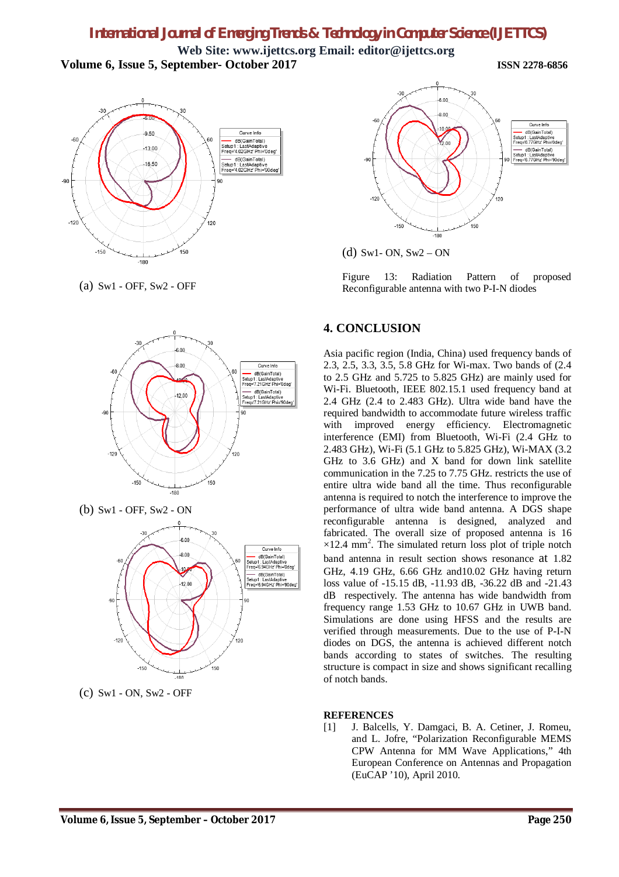**Web Site: [www.ijettcs.org](http://www.ijettcs.org) Email: [editor@ijettcs.org](mailto:editor@ijettcs.org) Volume 6, Issue 5, September- October 2017 ISSN 2278-6856**

 $-3($  $-9.50$ Curve Info dB(GainTotal)<br>Setup1 : LastAdaptive<br>Freq='4.02GHz' Phi='0d  $13.00$ dB(GainTotal)<br>Setup1 : LastAdaptive<br>Freq='4.02GHz' Phi='9  $-16.50$  $-120$ 120  $-150$ 150  $-180$ 

(a) Sw1 - OFF, Sw2 - OFF



(b) Sw1 - OFF, Sw2 - ON



(c) Sw1 - ON, Sw2 - OFF



(d) Sw1- ON,  $Sw2$  – ON

Figure 13: Radiation Pattern of proposed Reconfigurable antenna with two P-I-N diodes

## **4. CONCLUSION**

Asia pacific region (India, China) used frequency bands of 2.3, 2.5, 3.3, 3.5, 5.8 GHz for Wi-max. Two bands of (2.4 to 2.5 GHz and 5.725 to 5.825 GHz) are mainly used for Wi-Fi. Bluetooth, IEEE 802.15.1 used frequency band at 2.4 GHz (2.4 to 2.483 GHz). Ultra wide band have the required bandwidth to accommodate future wireless traffic with improved energy efficiency. Electromagnetic interference (EMI) from Bluetooth, Wi-Fi (2.4 GHz to 2.483 GHz), Wi-Fi (5.1 GHz to 5.825 GHz), Wi-MAX (3.2 GHz to 3.6 GHz) and X band for down link satellite communication in the 7.25 to 7.75 GHz. restricts the use of entire ultra wide band all the time. Thus reconfigurable antenna is required to notch the interference to improve the performance of ultra wide band antenna. A DGS shape reconfigurable antenna is designed, analyzed and fabricated. The overall size of proposed antenna is 16  $\times$ 12.4 mm<sup>2</sup>. The simulated return loss plot of triple notch band antenna in result section shows resonance at 1.82 GHz, 4.19 GHz, 6.66 GHz and10.02 GHz having return loss value of -15.15 dB, -11.93 dB, -36.22 dB and -21.43 dB respectively. The antenna has wide bandwidth from frequency range 1.53 GHz to 10.67 GHz in UWB band. Simulations are done using HFSS and the results are verified through measurements. Due to the use of P-I-N diodes on DGS, the antenna is achieved different notch bands according to states of switches. The resulting structure is compact in size and shows significant recalling of notch bands.

### **REFERENCES**

[1] J. Balcells, Y. Damgaci, B. A. Cetiner, J. Romeu, and L. Jofre, "Polarization Reconfigurable MEMS CPW Antenna for MM Wave Applications," 4th European Conference on Antennas and Propagation (EuCAP '10), April 2010.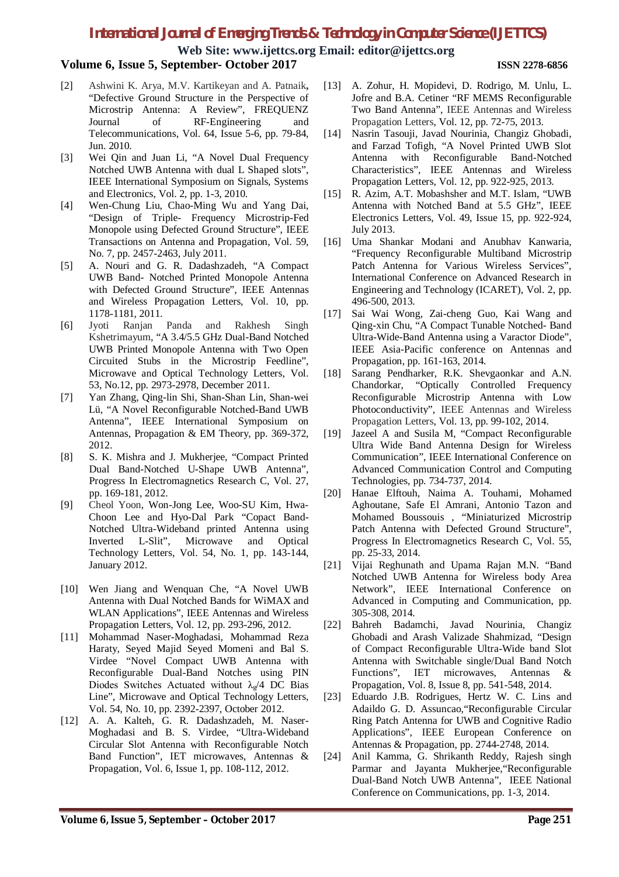**Web Site: [www.ijettcs.org](http://www.ijettcs.org) Email: [editor@ijettcs.org](mailto:editor@ijettcs.org)**

## **Volume 6, Issue 5, September- October 2017 ISSN 2278-6856**

- [2] Ashwini K. Arya, M.V. Kartikeyan and A. Patnaik**,** "Defective Ground Structure in the Perspective of Microstrip Antenna: A Review", FREQUENZ Journal of RF-Engineering and Telecommunications, Vol. 64, Issue 5-6, pp. 79-84, Jun. 2010.
- [3] Wei Qin and Juan Li, "A Novel Dual Frequency Notched UWB Antenna with dual L Shaped slots", IEEE International Symposium on Signals, Systems and Electronics, Vol. 2, pp. 1-3, 2010.
- [4] Wen-Chung Liu, Chao-Ming Wu and Yang Dai, "Design of Triple- Frequency Microstrip-Fed Monopole using Defected Ground Structure", IEEE Transactions on Antenna and Propagation, Vol. 59, No. 7, pp. 2457-2463, July 2011.
- [5] A. Nouri and G. R. Dadashzadeh, "A Compact UWB Band- Notched Printed Monopole Antenna with Defected Ground Structure", IEEE Antennas and Wireless Propagation Letters, Vol. 10, pp. 1178-1181, 2011.
- [6] Jyoti Ranjan Panda and Rakhesh Singh Kshetrimayum, "A 3.4/5.5 GHz Dual-Band Notched UWB Printed Monopole Antenna with Two Open Circuited Stubs in the Microstrip Feedline", Microwave and Optical Technology Letters, Vol. 53, No.12, pp. 2973-2978, December 2011.
- [7] Yan Zhang, Qing-lin Shi, Shan-Shan Lin, Shan-wei Lü, "A Novel Reconfigurable Notched-Band UWB Antenna", IEEE International Symposium on Antennas, Propagation & EM Theory, pp. 369-372, 2012.
- [8] S. K. Mishra and J. Mukherjee, "Compact Printed Dual Band-Notched U-Shape UWB Antenna", Progress In Electromagnetics Research C, Vol. 27, pp. 169-181, 2012.
- [9] Cheol Yoon, Won-Jong Lee, Woo-SU Kim, Hwa-Choon Lee and Hyo-Dal Park "Copact Band-Notched Ultra-Wideband printed Antenna using Inverted L-Slit", Microwave and Optical Technology Letters, Vol. 54, No. 1, pp. 143-144, January 2012.
- [10] Wen Jiang and Wenquan Che, "A Novel UWB Antenna with Dual Notched Bands for WiMAX and WLAN Applications", IEEE Antennas and Wireless Propagation Letters, Vol. 12, pp. 293-296, 2012.
- [11] Mohammad Naser-Moghadasi, Mohammad Reza Haraty, Seyed Majid Seyed Momeni and Bal S. Virdee "Novel Compact UWB Antenna with Reconfigurable Dual-Band Notches using PIN Diodes Switches Actuated without  $\lambda_{g}$ /4 DC Bias Line", Microwave and Optical Technology Letters, Vol. 54, No. 10, pp. 2392-2397, October 2012.
- [12] A. A. Kalteh, G. R. Dadashzadeh, M. Naser-Moghadasi and B. S. Virdee, "Ultra-Wideband Circular Slot Antenna with Reconfigurable Notch Band Function", IET microwaves, Antennas & Propagation, Vol. 6, Issue 1, pp. 108-112, 2012.
- [13] A. Zohur, H. Mopidevi, D. Rodrigo, M. Unlu, L. Jofre and B.A. Cetiner "RF MEMS Reconfigurable Two Band Antenna", IEEE Antennas and Wireless Propagation Letters, Vol. 12, pp. 72-75, 2013.
- [14] Nasrin Tasouji, Javad Nourinia, Changiz Ghobadi, and Farzad Tofigh, "A Novel Printed UWB Slot Antenna with Reconfigurable Band-Notched Characteristics", IEEE Antennas and Wireless Propagation Letters, Vol. 12, pp. 922-925, 2013.
- [15] R. Azim, A.T. Mobashsher and M.T. Islam, "UWB Antenna with Notched Band at 5.5 GHz", IEEE Electronics Letters, Vol. 49, Issue 15, pp. 922-924, July 2013.
- [16] Uma Shankar Modani and Anubhav Kanwaria, "Frequency Reconfigurable Multiband Microstrip Patch Antenna for Various Wireless Services", International Conference on Advanced Research in Engineering and Technology (ICARET), Vol. 2, pp. 496-500, 2013.
- [17] Sai Wai Wong, Zai-cheng Guo, Kai Wang and Qing-xin Chu, "A Compact Tunable Notched- Band Ultra-Wide-Band Antenna using a Varactor Diode", IEEE Asia-Pacific conference on Antennas and Propagation, pp. 161-163, 2014.
- [18] Sarang Pendharker, R.K. Shevgaonkar and A.N. Chandorkar, "Optically Controlled Frequency Reconfigurable Microstrip Antenna with Low Photoconductivity", IEEE Antennas and Wireless Propagation Letters, Vol. 13, pp. 99-102, 2014.
- [19] Jazeel A and Susila M, "Compact Reconfigurable Ultra Wide Band Antenna Design for Wireless Communication", IEEE International Conference on Advanced Communication Control and Computing Technologies, pp. 734-737, 2014.
- [20] Hanae Elftouh, Naima A. Touhami, Mohamed Aghoutane, Safe El Amrani, Antonio Tazon and Mohamed Boussouis , "Miniaturized Microstrip Patch Antenna with Defected Ground Structure", Progress In Electromagnetics Research C, Vol. 55, pp. 25-33, 2014.
- [21] Vijai Reghunath and Upama Rajan M.N. "Band Notched UWB Antenna for Wireless body Area Network", IEEE International Conference on Advanced in Computing and Communication, pp. 305-308, 2014.
- [22] Bahreh Badamchi, Javad Nourinia, Changiz Ghobadi and Arash Valizade Shahmizad, "Design of Compact Reconfigurable Ultra-Wide band Slot Antenna with Switchable single/Dual Band Notch Functions", IET microwaves, Antennas & Propagation, Vol. 8, Issue 8, pp. 541-548, 2014.
- [23] Eduardo J.B. Rodrigues, Hertz W. C. Lins and Adaildo G. D. Assuncao,"Reconfigurable Circular Ring Patch Antenna for UWB and Cognitive Radio Applications", IEEE European Conference on Antennas & Propagation, pp. 2744-2748, 2014.
- [24] Anil Kamma, G. Shrikanth Reddy, Rajesh singh Parmar and Jayanta Mukherjee,"Reconfigurable Dual-Band Notch UWB Antenna", IEEE National Conference on Communications, pp. 1-3, 2014.